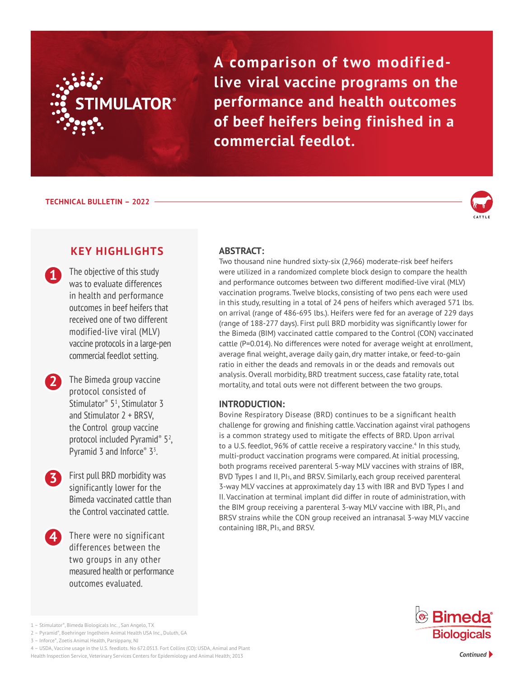

**A comparison of two modifiedlive viral vaccine programs on the performance and health outcomes of beef heifers being finished in a commercial feedlot.**

**TECHNICAL BULLETIN – 2022**

**1**



# **KEY HIGHLIGHTS**

The objective of this study was to evaluate differences in health and performance outcomes in beef heifers that received one of two different modified-live viral (MLV) vaccine protocols in a large-pen commercial feedlot setting.

**2** The Bimeda group vaccine protocol consisted of Stimulator<sup>®</sup> 5<sup>1</sup>, Stimulator 3 and Stimulator 2 + BRSV, the Control group vaccine protocol included Pyramid<sup>®</sup> 5<sup>2</sup>, Pyramid 3 and Inforce $\degree$  3<sup>3</sup>. .

- First pull BRD morbidity was significantly lower for the Bimeda vaccinated cattle than the Control vaccinated cattle. **3**
- **4** There were no significant differences between the two groups in any other measured health or performance outcomes evaluated.

## **ABSTRACT:**

Two thousand nine hundred sixty-six (2,966) moderate-risk beef heifers were utilized in a randomized complete block design to compare the health and performance outcomes between two different modified-live viral (MLV) vaccination programs. Twelve blocks, consisting of two pens each were used in this study, resulting in a total of 24 pens of heifers which averaged 571 lbs. on arrival (range of 486-695 lbs.). Heifers were fed for an average of 229 days (range of 188-277 days). First pull BRD morbidity was significantly lower for the Bimeda (BIM) vaccinated cattle compared to the Control (CON) vaccinated cattle (P=0.014). No differences were noted for average weight at enrollment, average final weight, average daily gain, dry matter intake, or feed-to-gain ratio in either the deads and removals in or the deads and removals out analysis. Overall morbidity, BRD treatment success, case fatality rate, total mortality, and total outs were not different between the two groups.

### **INTRODUCTION:**

Bovine Respiratory Disease (BRD) continues to be a significant health challenge for growing and finishing cattle. Vaccination against viral pathogens is a common strategy used to mitigate the effects of BRD. Upon arrival to a U.S. feedlot, 96% of cattle receive a respiratory vaccine.<sup>4</sup> In this study, multi-product vaccination programs were compared. At initial processing, both programs received parenteral 5-way MLV vaccines with strains of IBR, BVD Types I and II, PI<sub>3</sub>, and BRSV. Similarly, each group received parenteral 3-way MLV vaccines at approximately day 13 with IBR and BVD Types I and II. Vaccination at terminal implant did differ in route of administration, with the BIM group receiving a parenteral 3-way MLV vaccine with IBR, PI3, and BRSV strains while the CON group received an intranasal 3-way MLV vaccine containing IBR, PI3, and BRSV.



2 – Pyramid®, Boehringer Ingelheim Animal Health USA Inc., Duluth, GA

<sup>1 –</sup> Stimulator®, Bimeda Biologicals Inc. , San Angelo, TX

<sup>3 –</sup> Inforce®, Zoetis Animal Health, Parsippany, NJ

<sup>4 –</sup> USDA, Vaccine usage in the U.S. feedlots. No 672.0513. Fort Collins (CO): USDA, Animal and Plant Health Inspection Service, Veterinary Services Centers for Epidemiology and Animal Health; 2013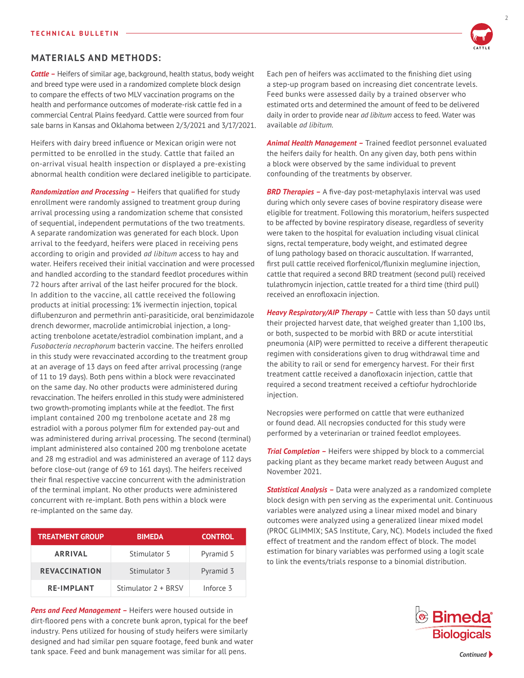### **MATERIALS AND METHODS:**

*Cattle –* Heifers of similar age, background, health status, body weight and breed type were used in a randomized complete block design to compare the effects of two MLV vaccination programs on the health and performance outcomes of moderate-risk cattle fed in a commercial Central Plains feedyard. Cattle were sourced from four sale barns in Kansas and Oklahoma between 2/3/2021 and 3/17/2021.

Heifers with dairy breed influence or Mexican origin were not permitted to be enrolled in the study. Cattle that failed an on-arrival visual health inspection or displayed a pre-existing abnormal health condition were declared ineligible to participate.

*Randomization and Processing –* Heifers that qualified for study enrollment were randomly assigned to treatment group during arrival processing using a randomization scheme that consisted of sequential, independent permutations of the two treatments. A separate randomization was generated for each block. Upon arrival to the feedyard, heifers were placed in receiving pens according to origin and provided *ad libitum* access to hay and water. Heifers received their initial vaccination and were processed and handled according to the standard feedlot procedures within 72 hours after arrival of the last heifer procured for the block. In addition to the vaccine, all cattle received the following products at initial processing: 1% ivermectin injection, topical diflubenzuron and permethrin anti-parasiticide, oral benzimidazole drench dewormer, macrolide antimicrobial injection, a longacting trenbolone acetate/estradiol combination implant, and a *Fusobacteria necrophorum* bacterin vaccine. The heifers enrolled in this study were revaccinated according to the treatment group at an average of 13 days on feed after arrival processing (range of 11 to 19 days). Both pens within a block were revaccinated on the same day. No other products were administered during revaccination. The heifers enrolled in this study were administered two growth-promoting implants while at the feedlot. The first implant contained 200 mg trenbolone acetate and 28 mg estradiol with a porous polymer film for extended pay-out and was administered during arrival processing. The second (terminal) implant administered also contained 200 mg trenbolone acetate and 28 mg estradiol and was administered an average of 112 days before close-out (range of 69 to 161 days). The heifers received their final respective vaccine concurrent with the administration of the terminal implant. No other products were administered concurrent with re-implant. Both pens within a block were re-implanted on the same day.

| <b>TREATMENT GROUP</b> | <b>BIMEDA</b>       | <b>CONTROL</b> |  |
|------------------------|---------------------|----------------|--|
| <b>ARRIVAL</b>         | Stimulator 5        | Pyramid 5      |  |
| <b>REVACCINATION</b>   | Stimulator 3        | Pyramid 3      |  |
| <b>RE-IMPLANT</b>      | Stimulator 2 + BRSV | Inforce 3      |  |

**Pens and Feed Management - Heifers were housed outside in** dirt-floored pens with a concrete bunk apron, typical for the beef industry. Pens utilized for housing of study heifers were similarly designed and had similar pen square footage, feed bunk and water tank space. Feed and bunk management was similar for all pens.

Each pen of heifers was acclimated to the finishing diet using a step-up program based on increasing diet concentrate levels. Feed bunks were assessed daily by a trained observer who estimated orts and determined the amount of feed to be delivered daily in order to provide near *ad libitum* access to feed. Water was available *ad libitum.*

*Animal Health Management –* Trained feedlot personnel evaluated the heifers daily for health. On any given day, both pens within a block were observed by the same individual to prevent confounding of the treatments by observer.

**BRD Therapies -** A five-day post-metaphylaxis interval was used during which only severe cases of bovine respiratory disease were eligible for treatment. Following this moratorium, heifers suspected to be affected by bovine respiratory disease, regardless of severity were taken to the hospital for evaluation including visual clinical signs, rectal temperature, body weight, and estimated degree of lung pathology based on thoracic auscultation. If warranted, first pull cattle received florfenicol/flunixin meglumine injection, cattle that required a second BRD treatment (second pull) received tulathromycin injection, cattle treated for a third time (third pull) received an enrofloxacin injection.

*Heavy Respiratory/AIP Therapy –* Cattle with less than 50 days until their projected harvest date, that weighed greater than 1,100 lbs, or both, suspected to be morbid with BRD or acute interstitial pneumonia (AIP) were permitted to receive a different therapeutic regimen with considerations given to drug withdrawal time and the ability to rail or send for emergency harvest. For their first treatment cattle received a danofloxacin injection, cattle that required a second treatment received a ceftiofur hydrochloride injection.

Necropsies were performed on cattle that were euthanized or found dead. All necropsies conducted for this study were performed by a veterinarian or trained feedlot employees.

*Trial Completion - Heifers were shipped by block to a commercial* packing plant as they became market ready between August and November 2021.

*Statistical Analysis –* Data were analyzed as a randomized complete block design with pen serving as the experimental unit. Continuous variables were analyzed using a linear mixed model and binary outcomes were analyzed using a generalized linear mixed model (PROC GLIMMIX; SAS Institute, Cary, NC). Models included the fixed effect of treatment and the random effect of block. The model estimation for binary variables was performed using a logit scale to link the events/trials response to a binomial distribution.



**CATTLE**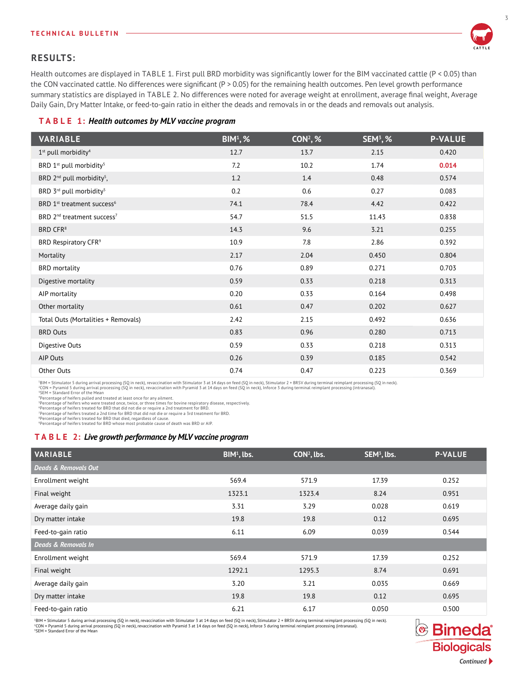#### **TECHNICAL BULLETIN**



## **RESULTS:**

Health outcomes are displayed in TABLE 1. First pull BRD morbidity was significantly lower for the BIM vaccinated cattle (P < 0.05) than the CON vaccinated cattle. No differences were significant (P > 0.05) for the remaining health outcomes. Pen level growth performance summary statistics are displayed in TABLE 2. No differences were noted for average weight at enrollment, average final weight, Average Daily Gain, Dry Matter Intake, or feed-to-gain ratio in either the deads and removals in or the deads and removals out analysis.

### **T A B L E 1:** *Health outcomes by MLV vaccine program*

| <b>VARIABLE</b>                                    | $BIM1,$ % | $CON2, %$ | $SEM3$ , % | <b>P-VALUE</b> |
|----------------------------------------------------|-----------|-----------|------------|----------------|
| $1st$ pull morbidity <sup>4</sup>                  | 12.7      | 13.7      | 2.15       | 0.420          |
| BRD 1 <sup>st</sup> pull morbidity <sup>5</sup>    | 7.2       | 10.2      | 1.74       | 0.014          |
| BRD 2 <sup>nd</sup> pull morbidity <sup>5</sup> ,  | 1.2       | 1.4       | 0.48       | 0.574          |
| BRD 3rd pull morbidity <sup>5</sup>                | 0.2       | 0.6       | 0.27       | 0.083          |
| BRD 1 <sup>st</sup> treatment success <sup>6</sup> | 74.1      | 78.4      | 4.42       | 0.422          |
| BRD 2 <sup>nd</sup> treatment success <sup>7</sup> | 54.7      | 51.5      | 11.43      | 0.838          |
| BRD CFR <sup>8</sup>                               | 14.3      | 9.6       | 3.21       | 0.255          |
| BRD Respiratory CFR <sup>9</sup>                   | 10.9      | 7.8       | 2.86       | 0.392          |
| Mortality                                          | 2.17      | 2.04      | 0.450      | 0.804          |
| <b>BRD</b> mortality                               | 0.76      | 0.89      | 0.271      | 0.703          |
| Digestive mortality                                | 0.59      | 0.33      | 0.218      | 0.313          |
| AIP mortality                                      | 0.20      | 0.33      | 0.164      | 0.498          |
| Other mortality                                    | 0.61      | 0.47      | 0.202      | 0.627          |
| Total Outs (Mortalities + Removals)                | 2.42      | 2.15      | 0.492      | 0.636          |
| <b>BRD Outs</b>                                    | 0.83      | 0.96      | 0.280      | 0.713          |
| Digestive Outs                                     | 0.59      | 0.33      | 0.218      | 0.313          |
| AIP Outs                                           | 0.26      | 0.39      | 0.185      | 0.542          |
| Other Outs                                         | 0.74      | 0.47      | 0.223      | 0.369          |

<sup>1</sup>BIM = Stimulator 5 during arrival processing (SQ in neck), revaccination with Stimulator 3 at 14 days on feed (SQ in neck), Stimulator 2 + BRSV during terminal reimplant processing (SQ in neck).

<sup>2</sup>CON = Pyramid 5 during arrival processing (SQ in neck), revaccination with Pyramid 3 at 14 days on feed (SQ in neck), Inforce 3 during terminal reimplant processing (intranasal).<br><sup>4</sup>EM = Standard Error of the Mean<br>"Per

<sup>6</sup>Percentage of heifers treated for BRD that did not die or require a 2nd treatment for BRD.<br><sup>7</sup>Percentage of heifers treated a 2nd time for BRD that did not die or require a 3rd treatment for BRD.<br><sup>8</sup>Percentage of heifer

### **T A B L E 2:** *Live growth performance by MLV vaccine program*

| <b>VARIABLE</b>      | BIM <sup>1</sup> , lbs. | $CON2$ , lbs. | SEM <sup>3</sup> , lbs. | <b>P-VALUE</b> |
|----------------------|-------------------------|---------------|-------------------------|----------------|
| Deads & Removals Out |                         |               |                         |                |
| Enrollment weight    | 569.4                   | 571.9         | 17.39                   | 0.252          |
| Final weight         | 1323.1                  | 1323.4        | 8.24                    | 0.951          |
| Average daily gain   | 3.31                    | 3.29          | 0.028                   | 0.619          |
| Dry matter intake    | 19.8                    | 19.8          | 0.12                    | 0.695          |
| Feed-to-gain ratio   | 6.11                    | 6.09          | 0.039                   | 0.544          |
| Deads & Removals In  |                         |               |                         |                |
| Enrollment weight    | 569.4                   | 571.9         | 17.39                   | 0.252          |
| Final weight         | 1292.1                  | 1295.3        | 8.74                    | 0.691          |
| Average daily gain   | 3.20                    | 3.21          | 0.035                   | 0.669          |
| Dry matter intake    | 19.8                    | 19.8          | 0.12                    | 0.695          |
| Feed-to-gain ratio   | 6.21                    | 6.17          | 0.050                   | 0.500          |

'BIM = Stimulator 5 during arrival processing (SQ in neck), revaccination with Stimulator 3 a 1 4 days on feed (SQ in neck), Stimulator 2 + BRSV during terminal reimplant processing (SQ in neck).<br>\*CON = Pyramid 5 during a